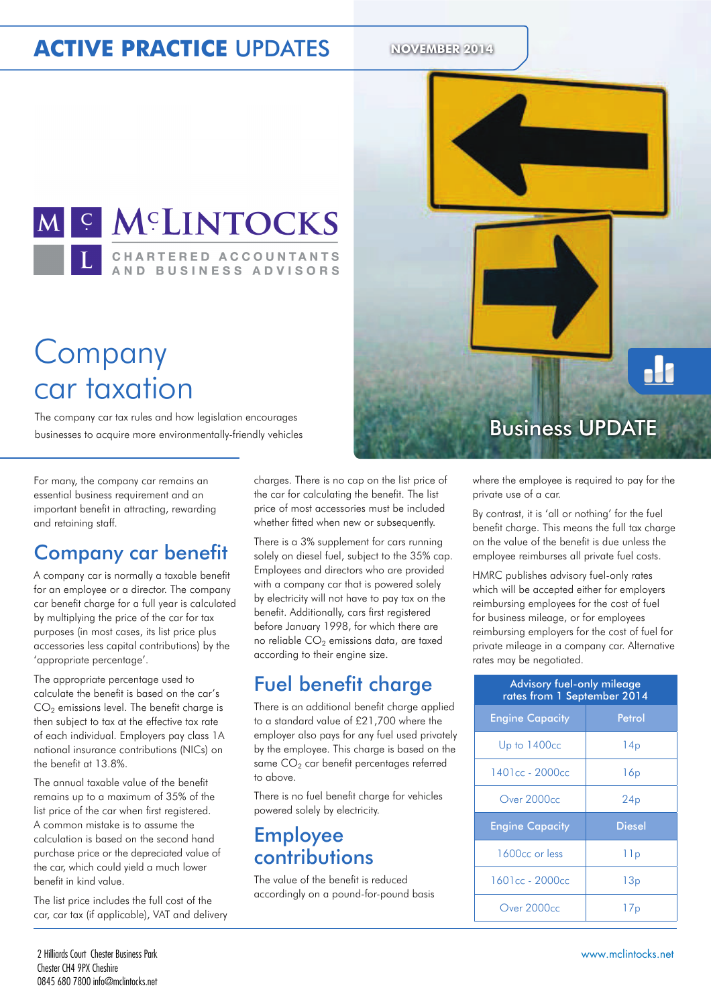# **ACTIVE PRACTICE UPDATES** NOVEMBER 2014



# Company car taxation

The company car tax rules and how legislation encourages The company car tax rules and how legislation encourages<br>businesses to acquire more environmentally-friendly vehicles **Business UPDATE** 

For many, the company car remains an essential business requirement and an important benefit in attracting, rewarding and retaining staff.

### Company car benefit

A company car is normally a taxable benefit for an employee or a director. The company car benefit charge for a full year is calculated by multiplying the price of the car for tax purposes (in most cases, its list price plus accessories less capital contributions) by the 'appropriate percentage'.

The appropriate percentage used to calculate the benefit is based on the car's  $CO<sub>2</sub>$  emissions level. The benefit charge is then subject to tax at the effective tax rate of each individual. Employers pay class 1A national insurance contributions (NICs) on the benefit at 13.8%.

The annual taxable value of the benefit remains up to a maximum of 35% of the list price of the car when first registered. A common mistake is to assume the calculation is based on the second hand purchase price or the depreciated value of the car, which could yield a much lower benefit in kind value.

The list price includes the full cost of the car, car tax (if applicable), VAT and delivery charges. There is no cap on the list price of the car for calculating the benefit. The list price of most accessories must be included whether fitted when new or subsequently.

There is a 3% supplement for cars running solely on diesel fuel, subject to the 35% cap. Employees and directors who are provided with a company car that is powered solely by electricity will not have to pay tax on the benefit. Additionally, cars first registered before January 1998, for which there are no reliable  $CO<sub>2</sub>$  emissions data, are taxed according to their engine size.

### Fuel benefit charge

There is an additional benefit charge applied to a standard value of £21,700 where the employer also pays for any fuel used privately by the employee. This charge is based on the same  $CO<sub>2</sub>$  car benefit percentages referred to above.

There is no fuel benefit charge for vehicles powered solely by electricity.

### Employee contributions

The value of the benefit is reduced accordingly on a pound-for-pound basis



where the employee is required to pay for the private use of a car.

By contrast, it is 'all or nothing' for the fuel benefit charge. This means the full tax charge on the value of the benefit is due unless the employee reimburses all private fuel costs.

HMRC publishes advisory fuel-only rates which will be accepted either for employers reimbursing employees for the cost of fuel for business mileage, or for employees reimbursing employers for the cost of fuel for private mileage in a company car. Alternative rates may be negotiated.

| Advisory fuel-only mileage<br>rates from 1 September 2014 |               |  |  |
|-----------------------------------------------------------|---------------|--|--|
| <b>Engine Capacity</b>                                    | Petrol        |  |  |
| Up to 1400cc                                              | 14p           |  |  |
| 1401cc - 2000cc                                           | 16p           |  |  |
| Over 2000cc                                               | 24p           |  |  |
| <b>Engine Capacity</b>                                    | <b>Diesel</b> |  |  |
| 1600 <sub>cc</sub> or less                                | 11p           |  |  |
| 1601cc - 2000cc                                           | 13p           |  |  |
| Over 2000cc                                               | 17p           |  |  |